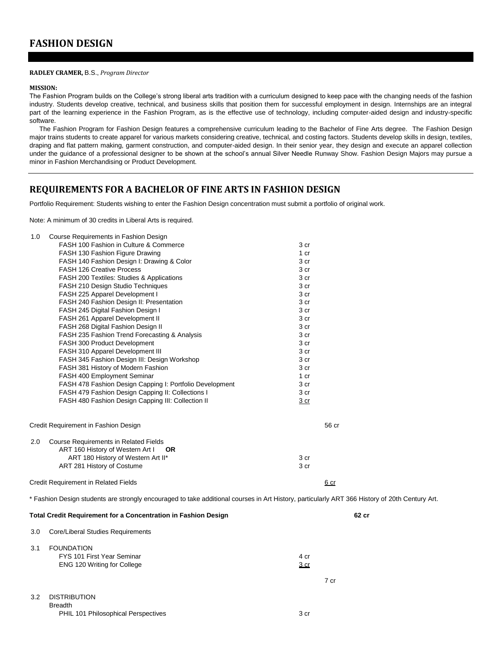#### **RADLEY CRAMER,** B.S., *Program Director*

#### **MISSION:**

The Fashion Program builds on the College's strong liberal arts tradition with a curriculum designed to keep pace with the changing needs of the fashion industry. Students develop creative, technical, and business skills that position them for successful employment in design. Internships are an integral part of the learning experience in the Fashion Program, as is the effective use of technology, including computer-aided design and industry-specific software.

The Fashion Program for Fashion Design features a comprehensive curriculum leading to the Bachelor of Fine Arts degree. The Fashion Design major trains students to create apparel for various markets considering creative, technical, and costing factors. Students develop skills in design, textiles, draping and flat pattern making, garment construction, and computer-aided design. In their senior year, they design and execute an apparel collection under the guidance of a professional designer to be shown at the school's annual Silver Needle Runway Show. Fashion Design Majors may pursue a minor in Fashion Merchandising or Product Development.

### **REQUIREMENTS FOR A BACHELOR OF FINE ARTS IN FASHION DESIGN**

Portfolio Requirement: Students wishing to enter the Fashion Design concentration must submit a portfolio of original work.

Note: A minimum of 30 credits in Liberal Arts is required.

| 1.0<br>Course Requirements in Fashion Design                                                                                                   |                 |
|------------------------------------------------------------------------------------------------------------------------------------------------|-----------------|
| FASH 100 Fashion in Culture & Commerce                                                                                                         | 3 cr            |
| FASH 130 Fashion Figure Drawing                                                                                                                | 1 <sub>cr</sub> |
| FASH 140 Fashion Design I: Drawing & Color                                                                                                     | 3 cr            |
| <b>FASH 126 Creative Process</b>                                                                                                               | 3 cr            |
| FASH 200 Textiles: Studies & Applications                                                                                                      | 3 cr            |
| FASH 210 Design Studio Techniques                                                                                                              | 3 cr            |
| FASH 225 Apparel Development I                                                                                                                 | 3 cr            |
| FASH 240 Fashion Design II: Presentation                                                                                                       | 3 cr            |
| FASH 245 Digital Fashion Design I                                                                                                              | 3 cr            |
| FASH 261 Apparel Development II                                                                                                                | 3 cr            |
| FASH 268 Digital Fashion Design II                                                                                                             | 3 cr            |
| FASH 235 Fashion Trend Forecasting & Analysis                                                                                                  | 3 cr            |
| FASH 300 Product Development                                                                                                                   | 3 cr            |
| FASH 310 Apparel Development III                                                                                                               | 3 cr            |
| FASH 345 Fashion Design III: Design Workshop                                                                                                   | 3 cr            |
| FASH 381 History of Modern Fashion                                                                                                             | 3 cr            |
| FASH 400 Employment Seminar                                                                                                                    | 1 cr            |
| FASH 478 Fashion Design Capping I: Portfolio Development                                                                                       | 3 cr            |
| FASH 479 Fashion Design Capping II: Collections I                                                                                              | 3 cr            |
| FASH 480 Fashion Design Capping III: Collection II                                                                                             | 3 <sub>cr</sub> |
| Credit Requirement in Fashion Design                                                                                                           | 56 cr           |
| <b>Course Requirements in Related Fields</b><br>2.0                                                                                            |                 |
| ART 160 History of Western Art I<br><b>OR</b>                                                                                                  |                 |
| ART 180 History of Western Art II*                                                                                                             | 3 cr            |
| ART 281 History of Costume                                                                                                                     | 3 cr            |
| <b>Credit Requirement in Related Fields</b>                                                                                                    | 6 cr            |
| * Fashion Design students are strongly encouraged to take additional courses in Art History, particularly ART 366 History of 20th Century Art. |                 |
| <b>Total Credit Requirement for a Concentration in Fashion Design</b>                                                                          | 62 cr           |
|                                                                                                                                                |                 |
| Core/Liberal Studies Requirements<br>3.0                                                                                                       |                 |

### 3.1 FOUNDATION FYS 101 First Year Seminar 4 crowds and the set of the set of the set of the set of the set of the set of the set of the set of the set of the set of the set of the set of the set of the set of the set of the set of the se ENG 120 Writing for College 3 cr

#### 3.2 DISTRIBUTION Breadth PHIL 101 Philosophical Perspectives 3 cr

7 cr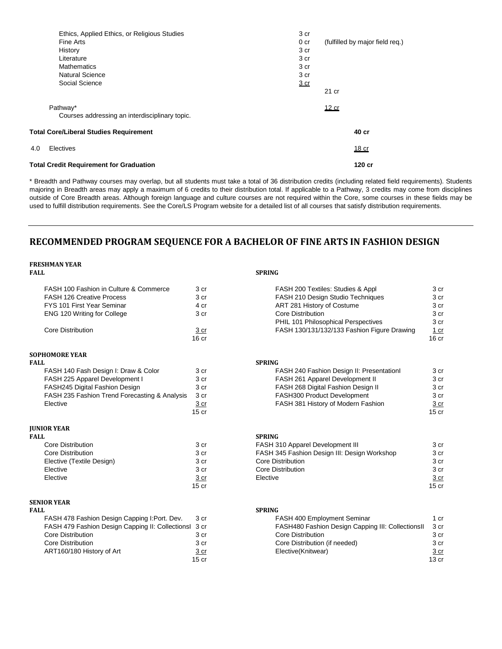|     | Ethics, Applied Ethics, or Religious Studies   | 3 cr            |                                 |
|-----|------------------------------------------------|-----------------|---------------------------------|
|     | Fine Arts                                      | 0 <sub>cr</sub> | (fulfilled by major field req.) |
|     | History                                        | 3 cr            |                                 |
|     | Literature                                     | 3 cr            |                                 |
|     | <b>Mathematics</b>                             | 3 cr            |                                 |
|     | <b>Natural Science</b>                         | 3 cr            |                                 |
|     | Social Science                                 | $rac{3}{2}$ cr  |                                 |
|     |                                                |                 | 21 cr                           |
|     | Pathway*                                       |                 | 12 cr                           |
|     | Courses addressing an interdisciplinary topic. |                 |                                 |
|     | <b>Total Core/Liberal Studies Requirement</b>  |                 | 40 cr                           |
| 4.0 | Electives                                      |                 | 18 cr                           |
|     | <b>Total Credit Requirement for Graduation</b> |                 | 120 cr                          |

\* Breadth and Pathway courses may overlap, but all students must take a total of 36 distribution credits (including related field requirements). Students majoring in Breadth areas may apply a maximum of 6 credits to their distribution total. If applicable to a Pathway, 3 credits may come from disciplines outside of Core Breadth areas. Although foreign language and culture courses are not required within the Core, some courses in these fields may be used to fulfill distribution requirements. See the Core/LS Program website for a detailed list of all courses that satisfy distribution requirements.

### **RECOMMENDED PROGRAM SEQUENCE FOR A BACHELOR OF FINE ARTS IN FASHION DESIGN**

| <b>FRESHMAN YEAR</b>                                  |                  |                                                   |                  |
|-------------------------------------------------------|------------------|---------------------------------------------------|------------------|
| <b>FALL</b>                                           |                  | <b>SPRING</b>                                     |                  |
| FASH 100 Fashion in Culture & Commerce                | 3 cr             | FASH 200 Textiles: Studies & Appl                 | 3 cr             |
| <b>FASH 126 Creative Process</b>                      | 3 cr             | FASH 210 Design Studio Techniques                 | 3 <sub>cr</sub>  |
| FYS 101 First Year Seminar                            | 4 cr             | ART 281 History of Costume                        | 3 cr             |
| ENG 120 Writing for College                           | 3 cr             | <b>Core Distribution</b>                          | 3 cr             |
|                                                       |                  | PHIL 101 Philosophical Perspectives               | 3 cr             |
| Core Distribution                                     | 3 cr             | FASH 130/131/132/133 Fashion Figure Drawing       | 1 cr             |
|                                                       | 16 <sub>cr</sub> |                                                   | 16 <sub>cr</sub> |
| <b>SOPHOMORE YEAR</b>                                 |                  |                                                   |                  |
| <b>FALL</b>                                           |                  | <b>SPRING</b>                                     |                  |
| FASH 140 Fash Design I: Draw & Color                  | 3 cr             | FASH 240 Fashion Design II: PresentationI         | 3 cr             |
| FASH 225 Apparel Development I                        | 3 cr             | FASH 261 Apparel Development II                   | 3 cr             |
| FASH245 Digital Fashion Design                        | 3 cr             | FASH 268 Digital Fashion Design II                | 3 cr             |
| FASH 235 Fashion Trend Forecasting & Analysis         | 3 cr             | FASH300 Product Development                       | 3 cr             |
| Elective                                              | 3 cr             | FASH 381 History of Modern Fashion                | 3 cr             |
|                                                       | $15$ cr          |                                                   | 15 <sub>cr</sub> |
| <b>JUNIOR YEAR</b>                                    |                  |                                                   |                  |
| <b>FALL</b>                                           |                  | <b>SPRING</b>                                     |                  |
| <b>Core Distribution</b>                              | 3 cr             | FASH 310 Apparel Development III                  | 3 cr             |
| <b>Core Distribution</b>                              | 3 cr             | FASH 345 Fashion Design III: Design Workshop      | 3 <sub>cr</sub>  |
| Elective (Textile Design)                             | 3 cr             | Core Distribution                                 | 3 cr             |
| Elective                                              | 3 cr             | <b>Core Distribution</b>                          | 3 cr             |
| Elective                                              | 3 cr             | Elective                                          | 3 cr             |
|                                                       | 15 <sub>cr</sub> |                                                   | 15 <sub>cr</sub> |
| <b>SENIOR YEAR</b>                                    |                  |                                                   |                  |
| <b>FALL</b>                                           |                  | <b>SPRING</b>                                     |                  |
| FASH 478 Fashion Design Capping I:Port. Dev.          | 3 cr             | FASH 400 Employment Seminar                       | 1 cr             |
| FASH 479 Fashion Design Capping II: Collectionsl 3 cr |                  | FASH480 Fashion Design Capping III: CollectionsII | 3 cr             |
| <b>Core Distribution</b>                              | 3 cr             | Core Distribution                                 | 3 cr             |
| <b>Core Distribution</b>                              | 3 cr             | Core Distribution (if needed)                     | 3 cr             |
| ART160/180 History of Art                             | 3 cr             | Elective(Knitwear)                                | 3 cr             |
|                                                       | $15$ cr          |                                                   | 13 <sub>cr</sub> |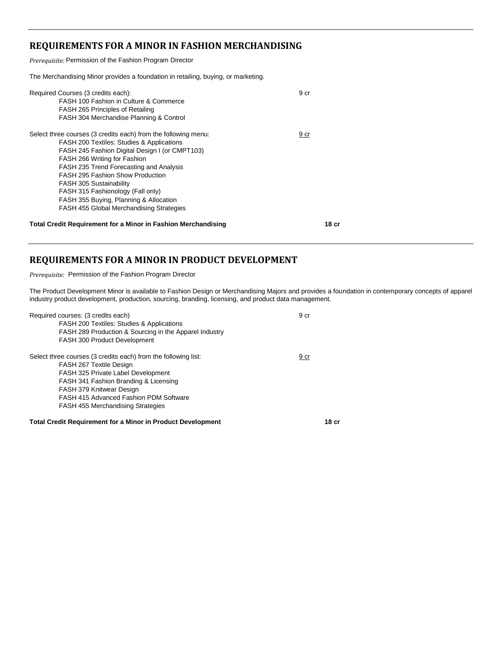### **REQUIREMENTS FOR A MINOR IN FASHION MERCHANDISING**

*Prerequisite:* Permission of the Fashion Program Director

The Merchandising Minor provides a foundation in retailing, buying, or marketing.

| Required Courses (3 credits each):<br>FASH 100 Fashion in Culture & Commerce<br>FASH 265 Principles of Retailing<br>FASH 304 Merchandise Planning & Control                                                                                                                                                                                                                                                                                                 | 9 cr  |
|-------------------------------------------------------------------------------------------------------------------------------------------------------------------------------------------------------------------------------------------------------------------------------------------------------------------------------------------------------------------------------------------------------------------------------------------------------------|-------|
| Select three courses (3 credits each) from the following menu:<br><b>FASH 200 Textiles: Studies &amp; Applications</b><br>FASH 245 Fashion Digital Design I (or CMPT103)<br>FASH 266 Writing for Fashion<br>FASH 235 Trend Forecasting and Analysis<br><b>FASH 295 Fashion Show Production</b><br>FASH 305 Sustainability<br>FASH 315 Fashionology (Fall only)<br>FASH 355 Buying, Planning & Allocation<br><b>FASH 455 Global Merchandising Strategies</b> | 9 cr  |
| <b>Total Credit Requirement for a Minor in Fashion Merchandising</b>                                                                                                                                                                                                                                                                                                                                                                                        | 18 cr |

### **REQUIREMENTS FOR A MINOR IN PRODUCT DEVELOPMENT**

*Prerequisite:* Permission of the Fashion Program Director

The Product Development Minor is available to Fashion Design or Merchandising Majors and provides a foundation in contemporary concepts of apparel industry product development, production, sourcing, branding, licensing, and product data management.

| Required courses: (3 credits each)<br><b>FASH 200 Textiles: Studies &amp; Applications</b><br>FASH 289 Production & Sourcing in the Apparel Industry<br>FASH 300 Product Development                                                                                                              | 9 cr  |
|---------------------------------------------------------------------------------------------------------------------------------------------------------------------------------------------------------------------------------------------------------------------------------------------------|-------|
| Select three courses (3 credits each) from the following list:<br>FASH 267 Textile Design<br>FASH 325 Private Label Development<br>FASH 341 Fashion Branding & Licensing<br>FASH 379 Knitwear Design<br><b>FASH 415 Advanced Fashion PDM Software</b><br><b>FASH 455 Merchandising Strategies</b> | 9 cr  |
| <b>Total Credit Requirement for a Minor in Product Development</b>                                                                                                                                                                                                                                | 18 cr |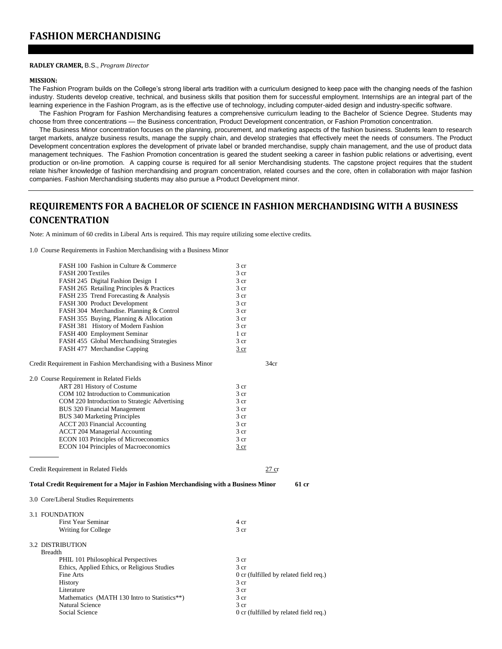### **FASHION MERCHANDISING**

#### **RADLEY CRAMER,** B.S., *Program Director*

#### **MISSION:**

The Fashion Program builds on the College's strong liberal arts tradition with a curriculum designed to keep pace with the changing needs of the fashion industry. Students develop creative, technical, and business skills that position them for successful employment. Internships are an integral part of the learning experience in the Fashion Program, as is the effective use of technology, including computer-aided design and industry-specific software.

The Fashion Program for Fashion Merchandising features a comprehensive curriculum leading to the Bachelor of Science Degree. Students may choose from three concentrations — the Business concentration, Product Development concentration, or Fashion Promotion concentration.

The Business Minor concentration focuses on the planning, procurement, and marketing aspects of the fashion business. Students learn to research target markets, analyze business results, manage the supply chain, and develop strategies that effectively meet the needs of consumers. The Product Development concentration explores the development of private label or branded merchandise, supply chain management, and the use of product data management techniques. The Fashion Promotion concentration is geared the student seeking a career in fashion public relations or advertising, event production or on-line promotion. A capping course is required for all senior Merchandising students. The capstone project requires that the student relate his/her knowledge of fashion merchandising and program concentration, related courses and the core, often in collaboration with major fashion companies. Fashion Merchandising students may also pursue a Product Development minor.

## **REQUIREMENTS FOR A BACHELOR OF SCIENCE IN FASHION MERCHANDISING WITH A BUSINESS CONCENTRATION**

Note: A minimum of 60 credits in Liberal Arts is required. This may require utilizing some elective credits.

1.0 Course Requirements in Fashion Merchandising with a Business Minor

| FASH 100 Fashion in Culture & Commerce                                                     | 3 cr                                           |
|--------------------------------------------------------------------------------------------|------------------------------------------------|
| <b>FASH 200 Textiles</b>                                                                   | 3 cr                                           |
| FASH 245 Digital Fashion Design I                                                          | 3 <sub>cr</sub>                                |
| FASH 265 Retailing Principles & Practices                                                  | 3 <sub>cr</sub>                                |
| FASH 235 Trend Forecasting & Analysis                                                      | 3 cr                                           |
| FASH 300 Product Development                                                               | 3 cr                                           |
| FASH 304 Merchandise. Planning & Control                                                   | 3 <sub>cr</sub>                                |
| FASH 355 Buying, Planning & Allocation                                                     | 3 <sub>cr</sub>                                |
| FASH 381 History of Modern Fashion                                                         | 3 cr                                           |
| FASH 400 Employment Seminar                                                                | 1 cr                                           |
| FASH 455 Global Merchandising Strategies                                                   | 3 cr                                           |
| FASH 477 Merchandise Capping                                                               | 3 cr                                           |
| Credit Requirement in Fashion Merchandising with a Business Minor                          | 34cr                                           |
| 2.0 Course Requirement in Related Fields                                                   |                                                |
| ART 281 History of Costume                                                                 | 3 <sub>cr</sub>                                |
| COM 102 Introduction to Communication                                                      | 3 <sub>cr</sub>                                |
| COM 220 Introduction to Strategic Advertising                                              | 3 <sub>cr</sub>                                |
| BUS 320 Financial Management                                                               | 3 <sub>cr</sub>                                |
| <b>BUS 340 Marketing Principles</b>                                                        | 3 <sub>cr</sub>                                |
| <b>ACCT 203 Financial Accounting</b>                                                       | 3 <sub>cr</sub>                                |
| <b>ACCT 204 Managerial Accounting</b>                                                      | 3 cr                                           |
| ECON 103 Principles of Microeconomics                                                      | 3 <sub>cr</sub>                                |
| ECON 104 Principles of Macroeconomics                                                      | $rac{3}{2}$ cr                                 |
| Credit Requirement in Related Fields                                                       | 27 cr                                          |
| <b>Total Credit Requirement for a Major in Fashion Merchandising with a Business Minor</b> | 61 cr                                          |
| 3.0 Core/Liberal Studies Requirements                                                      |                                                |
|                                                                                            |                                                |
| 3.1 FOUNDATION                                                                             |                                                |
| First Year Seminar                                                                         | 4 cr                                           |
| Writing for College                                                                        | 3 cr                                           |
| <b>3.2 DISTRIBUTION</b>                                                                    |                                                |
| <b>Breadth</b>                                                                             |                                                |
| PHIL 101 Philosophical Perspectives                                                        | 3 <sub>cr</sub>                                |
| Ethics, Applied Ethics, or Religious Studies                                               | 3 <sub>cr</sub>                                |
| Fine Arts                                                                                  | 0 cr (fulfilled by related field req.)<br>3 cr |
| History                                                                                    |                                                |
| Literature                                                                                 | 3 <sub>cr</sub>                                |
| Mathematics (MATH 130 Intro to Statistics**)<br><b>Natural Science</b>                     | 3 cr                                           |
|                                                                                            | 3 cr                                           |
| Social Science                                                                             | 0 cr (fulfilled by related field req.)         |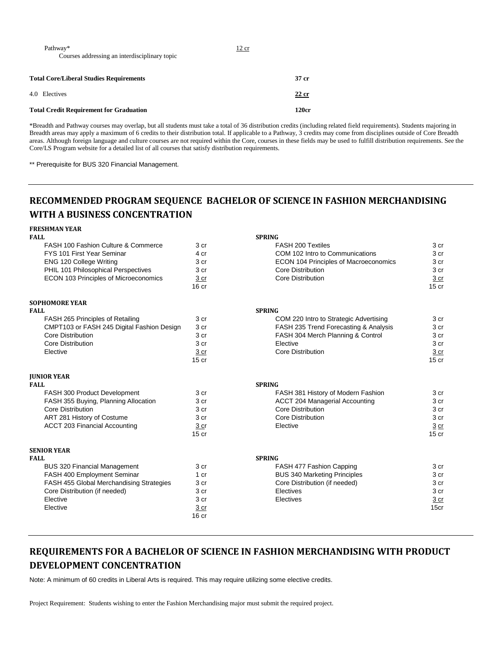| Pathway*                                       | 12 cr |
|------------------------------------------------|-------|
| Courses addressing an interdisciplinary topic  |       |
|                                                |       |
| <b>Total Core/Liberal Studies Requirements</b> | 37 cr |
| 4.0 Electives                                  | 22 cr |
| <b>Total Credit Requirement for Graduation</b> | 120cr |

\*Breadth and Pathway courses may overlap, but all students must take a total of 36 distribution credits (including related field requirements). Students majoring in Breadth areas may apply a maximum of 6 credits to their distribution total. If applicable to a Pathway, 3 credits may come from disciplines outside of Core Breadth areas. Although foreign language and culture courses are not required within the Core, courses in these fields may be used to fulfill distribution requirements. See the Core/LS Program website for a detailed list of all courses that satisfy distribution requirements.

\*\* Prerequisite for BUS 320 Financial Management.

## **RECOMMENDED PROGRAM SEQUENCE BACHELOR OF SCIENCE IN FASHION MERCHANDISING WITH A BUSINESS CONCENTRATION**

| <b>FRESHMAN YEAR</b>                       |                  |                                              |                  |
|--------------------------------------------|------------------|----------------------------------------------|------------------|
| <b>FALL</b>                                |                  | <b>SPRING</b>                                |                  |
| FASH 100 Fashion Culture & Commerce        | 3 cr             | FASH 200 Textiles                            | 3 cr             |
| FYS 101 First Year Seminar                 | 4 cr             | COM 102 Intro to Communications              | 3 cr             |
| ENG 120 College Writing                    | 3 cr             | <b>ECON 104 Principles of Macroeconomics</b> | 3 cr             |
| PHIL 101 Philosophical Perspectives        | 3 cr             | <b>Core Distribution</b>                     | 3 cr             |
| ECON 103 Principles of Microeconomics      | 3 cr             | <b>Core Distribution</b>                     | 3 cr             |
|                                            | 16 <sub>cr</sub> |                                              | 15 <sub>cr</sub> |
| <b>SOPHOMORE YEAR</b>                      |                  |                                              |                  |
| <b>FALL</b>                                |                  | <b>SPRING</b>                                |                  |
| FASH 265 Principles of Retailing           | 3 cr             | COM 220 Intro to Strategic Advertising       | 3 cr             |
| CMPT103 or FASH 245 Digital Fashion Design | 3 cr             | FASH 235 Trend Forecasting & Analysis        | 3 cr             |
| Core Distribution                          | 3 cr             | FASH 304 Merch Planning & Control            | 3 cr             |
| <b>Core Distribution</b>                   | 3 cr             | Elective                                     | 3 cr             |
| Elective                                   | 3 cr             | <b>Core Distribution</b>                     | 3 cr             |
|                                            | $15$ cr          |                                              | $15$ cr          |
| <b>JUNIOR YEAR</b>                         |                  |                                              |                  |
| <b>FALL</b>                                |                  | <b>SPRING</b>                                |                  |
| FASH 300 Product Development               | 3 cr             | FASH 381 History of Modern Fashion           | 3 cr             |
| FASH 355 Buying, Planning Allocation       | 3 cr             | <b>ACCT 204 Managerial Accounting</b>        | 3 cr             |
| <b>Core Distribution</b>                   | 3 cr             | Core Distribution                            | 3 cr             |
| ART 281 History of Costume                 | 3 cr             | <b>Core Distribution</b>                     | 3 cr             |
| <b>ACCT 203 Financial Accounting</b>       | 3 cr             | Elective                                     | $3 \ncr$         |
|                                            | $15$ cr          |                                              | $15$ cr          |
| <b>SENIOR YEAR</b>                         |                  |                                              |                  |
| <b>FALL</b>                                |                  | <b>SPRING</b>                                |                  |
| <b>BUS 320 Financial Management</b>        | 3 cr             | FASH 477 Fashion Capping                     | 3 cr             |
| FASH 400 Employment Seminar                | 1 cr             | <b>BUS 340 Marketing Principles</b>          | 3 cr             |
| FASH 455 Global Merchandising Strategies   | 3 cr             | Core Distribution (if needed)                | 3 cr             |
| Core Distribution (if needed)              | 3 cr             | Electives                                    | 3 cr             |
| Elective                                   | 3 cr             | Electives                                    | 3 cr             |
| Elective                                   | 3 <sub>cr</sub>  |                                              | 15cr             |
|                                            | 16 <sub>cr</sub> |                                              |                  |

## **REQUIREMENTS FOR A BACHELOR OF SCIENCE IN FASHION MERCHANDISING WITH PRODUCT DEVELOPMENT CONCENTRATION**

Note: A minimum of 60 credits in Liberal Arts is required. This may require utilizing some elective credits.

Project Requirement: Students wishing to enter the Fashion Merchandising major must submit the required project.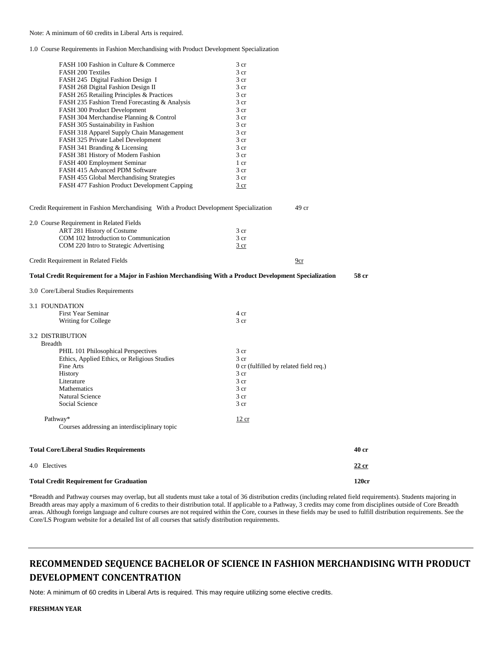#### Note: A minimum of 60 credits in Liberal Arts is required.

1.0 Course Requirements in Fashion Merchandising with Product Development Specialization

|                                                                                                         |                                                           |       | 120cr |
|---------------------------------------------------------------------------------------------------------|-----------------------------------------------------------|-------|-------|
| 4.0 Electives                                                                                           |                                                           |       | 22 cr |
| <b>Total Core/Liberal Studies Requirements</b>                                                          |                                                           |       | 40 cr |
| Pathway*<br>Courses addressing an interdisciplinary topic                                               | <u>12 cr</u>                                              |       |       |
|                                                                                                         |                                                           |       |       |
| Social Science                                                                                          | 3 cr                                                      |       |       |
| <b>Natural Science</b>                                                                                  | 3 cr                                                      |       |       |
| Mathematics                                                                                             | 3 cr                                                      |       |       |
| Literature                                                                                              | 3 <sub>cr</sub>                                           |       |       |
| <b>History</b>                                                                                          | 3 <sub>cr</sub>                                           |       |       |
| Ethics, Applied Ethics, or Religious Studies<br>Fine Arts                                               | 3 <sub>cr</sub><br>0 cr (fulfilled by related field req.) |       |       |
| PHIL 101 Philosophical Perspectives                                                                     | 3 cr                                                      |       |       |
| <b>Breadth</b>                                                                                          |                                                           |       |       |
| <b>3.2 DISTRIBUTION</b>                                                                                 |                                                           |       |       |
| Writing for College                                                                                     | 3 cr                                                      |       |       |
| First Year Seminar                                                                                      | 4 cr                                                      |       |       |
| 3.1 FOUNDATION                                                                                          |                                                           |       |       |
|                                                                                                         |                                                           |       |       |
| 3.0 Core/Liberal Studies Requirements                                                                   |                                                           |       |       |
| Total Credit Requirement for a Major in Fashion Merchandising With a Product Development Specialization |                                                           |       | 58 cr |
| Credit Requirement in Related Fields                                                                    |                                                           | 9cr   |       |
| COM 220 Intro to Strategic Advertising                                                                  | 3 cr                                                      |       |       |
| COM 102 Introduction to Communication                                                                   | 3 cr                                                      |       |       |
| ART 281 History of Costume                                                                              | 3 <sub>cr</sub>                                           |       |       |
| 2.0 Course Requirement in Related Fields                                                                |                                                           |       |       |
| Credit Requirement in Fashion Merchandising With a Product Development Specialization                   |                                                           | 49 cr |       |
|                                                                                                         |                                                           |       |       |
| FASH 477 Fashion Product Development Capping                                                            | 3 cr                                                      |       |       |
| FASH 455 Global Merchandising Strategies                                                                | 3 cr                                                      |       |       |
| FASH 415 Advanced PDM Software                                                                          | 3 <sub>cr</sub>                                           |       |       |
| FASH 381 History of Modern Fashion<br>FASH 400 Employment Seminar                                       | 1 cr                                                      |       |       |
| FASH 341 Branding & Licensing                                                                           | 3 <sub>cr</sub>                                           |       |       |
| FASH 325 Private Label Development                                                                      | 3 <sub>cr</sub><br>3 <sub>cr</sub>                        |       |       |
| FASH 318 Apparel Supply Chain Management                                                                | 3 <sub>cr</sub>                                           |       |       |
| FASH 305 Sustainability in Fashion                                                                      | 3 <sub>cr</sub>                                           |       |       |
| FASH 304 Merchandise Planning & Control                                                                 | 3 cr                                                      |       |       |
| FASH 300 Product Development                                                                            | 3 <sub>cr</sub>                                           |       |       |
| FASH 235 Fashion Trend Forecasting & Analysis                                                           | 3 cr                                                      |       |       |
| FASH 265 Retailing Principles & Practices                                                               | 3 cr                                                      |       |       |
| FASH 268 Digital Fashion Design II                                                                      | 3 <sub>cr</sub>                                           |       |       |
| FASH 245 Digital Fashion Design I                                                                       | 3 <sub>cr</sub>                                           |       |       |
| <b>FASH 200 Textiles</b>                                                                                | 3 <sub>cr</sub>                                           |       |       |
|                                                                                                         |                                                           |       |       |

\*Breadth and Pathway courses may overlap, but all students must take a total of 36 distribution credits (including related field requirements). Students majoring in Breadth areas may apply a maximum of 6 credits to their distribution total. If applicable to a Pathway, 3 credits may come from disciplines outside of Core Breadth areas. Although foreign language and culture courses are not required within the Core, courses in these fields may be used to fulfill distribution requirements. See the Core/LS Program website for a detailed list of all courses that satisfy distribution requirements.

## **RECOMMENDED SEQUENCE BACHELOR OF SCIENCE IN FASHION MERCHANDISING WITH PRODUCT DEVELOPMENT CONCENTRATION**

Note: A minimum of 60 credits in Liberal Arts is required. This may require utilizing some elective credits.

**FRESHMAN YEAR**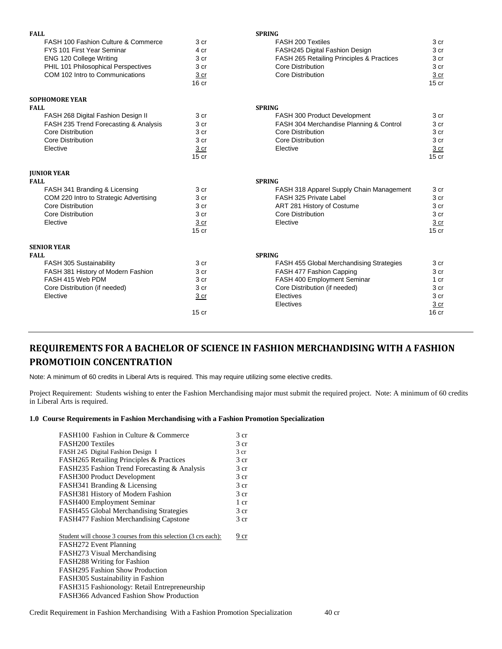| <b>FALL</b>                            |                  | <b>SPRING</b>                             |                  |
|----------------------------------------|------------------|-------------------------------------------|------------------|
| FASH 100 Fashion Culture & Commerce    | 3 cr             | FASH 200 Textiles                         | 3 cr             |
| FYS 101 First Year Seminar             | 4 cr             | FASH245 Digital Fashion Design            | 3 cr             |
| ENG 120 College Writing                | 3 cr             | FASH 265 Retailing Principles & Practices | 3 cr             |
| PHIL 101 Philosophical Perspectives    | 3 cr             | Core Distribution                         | 3 cr             |
| COM 102 Intro to Communications        | 3 <sub>cr</sub>  | <b>Core Distribution</b>                  | 3 cr             |
|                                        | 16 <sub>cr</sub> |                                           | $15$ cr          |
| <b>SOPHOMORE YEAR</b>                  |                  |                                           |                  |
| <b>FALL</b>                            |                  | <b>SPRING</b>                             |                  |
| FASH 268 Digital Fashion Design II     | 3 cr             | FASH 300 Product Development              | 3 cr             |
| FASH 235 Trend Forecasting & Analysis  | 3 cr             | FASH 304 Merchandise Planning & Control   | 3 <sub>cr</sub>  |
| <b>Core Distribution</b>               | 3 cr             | <b>Core Distribution</b>                  | 3 cr             |
| Core Distribution                      | 3 <sub>cr</sub>  | Core Distribution                         | 3 cr             |
| Elective                               | 3 cr             | Elective                                  | 3 cr             |
|                                        | 15 <sub>cr</sub> |                                           | $15$ cr          |
| <b>JUNIOR YEAR</b>                     |                  |                                           |                  |
| <b>FALL</b>                            |                  | <b>SPRING</b>                             |                  |
| FASH 341 Branding & Licensing          | 3 cr             | FASH 318 Apparel Supply Chain Management  | 3 cr             |
| COM 220 Intro to Strategic Advertising | 3 cr             | FASH 325 Private Label                    | 3 cr             |
| Core Distribution                      | 3 cr             | ART 281 History of Costume                | 3 cr             |
| Core Distribution                      | 3 <sub>cr</sub>  | Core Distribution                         | 3 cr             |
| Elective                               | 3 cr             | Elective                                  | 3 <sub>cr</sub>  |
|                                        | $15$ cr          |                                           | $15$ cr          |
| <b>SENIOR YEAR</b>                     |                  |                                           |                  |
| <b>FALL</b>                            |                  | <b>SPRING</b>                             |                  |
| FASH 305 Sustainability                | 3 <sub>cr</sub>  | FASH 455 Global Merchandising Strategies  | 3 <sub>cr</sub>  |
| FASH 381 History of Modern Fashion     | 3 cr             | FASH 477 Fashion Capping                  | 3 <sub>cr</sub>  |
| FASH 415 Web PDM                       | 3 cr             | FASH 400 Employment Seminar               | 1 <sub>cr</sub>  |
| Core Distribution (if needed)          | 3 cr             | Core Distribution (if needed)             | 3 cr             |
| Elective                               | 3 cr             | Electives                                 | 3 cr             |
|                                        |                  | Electives                                 | 3 cr             |
|                                        | 15 <sub>cr</sub> |                                           | 16 <sub>cr</sub> |

## **REQUIREMENTS FOR A BACHELOR OF SCIENCE IN FASHION MERCHANDISING WITH A FASHION PROMOTIOIN CONCENTRATION**

Note: A minimum of 60 credits in Liberal Arts is required. This may require utilizing some elective credits.

Project Requirement: Students wishing to enter the Fashion Merchandising major must submit the required project. Note: A minimum of 60 credits in Liberal Arts is required.

### **1.0 Course Requirements in Fashion Merchandising with a Fashion Promotion Specialization**

| FASH100 Fashion in Culture & Commerce                           | 3 <sub>cr</sub> |
|-----------------------------------------------------------------|-----------------|
| <b>FASH200 Textiles</b>                                         | 3 <sub>cr</sub> |
| FASH 245 Digital Fashion Design I                               | 3 <sub>cr</sub> |
| FASH265 Retailing Principles & Practices                        | 3 <sub>cr</sub> |
| FASH235 Fashion Trend Forecasting & Analysis                    | 3 <sub>cr</sub> |
| FASH300 Product Development                                     | 3 <sub>cr</sub> |
| FASH341 Branding & Licensing                                    | 3 cr            |
| FASH381 History of Modern Fashion                               | 3 <sub>cr</sub> |
| FASH400 Employment Seminar                                      | $1 \text{ cr}$  |
| FASH455 Global Merchandising Strategies                         | 3 cr            |
| <b>FASH477 Fashion Merchandising Capstone</b>                   | 3 cr            |
| Student will choose 3 courses from this selection (3 crs each): | 9 cr            |
| FASH272 Event Planning                                          |                 |
| FASH273 Visual Merchandising                                    |                 |
| <b>FASH288 Writing for Fashion</b>                              |                 |
| FASH295 Fashion Show Production                                 |                 |
| FASH305 Sustainability in Fashion                               |                 |
| FASH315 Fashionology: Retail Entrepreneurship                   |                 |
| FASH366 Advanced Fashion Show Production                        |                 |
|                                                                 |                 |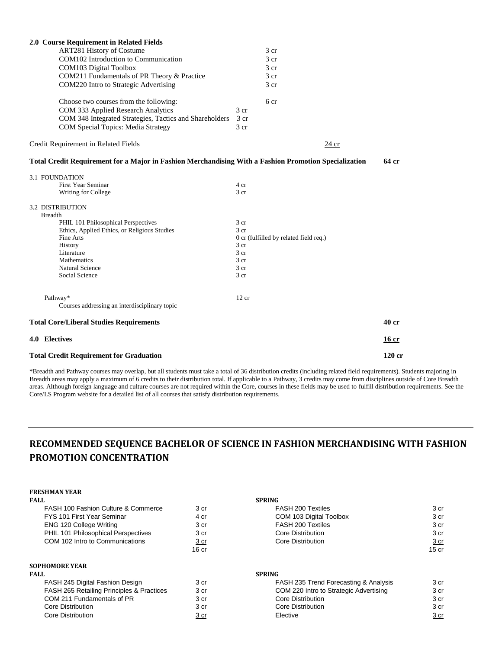| 2.0 Course Requirement in Related Fields                                                              |                                                |          |  |  |
|-------------------------------------------------------------------------------------------------------|------------------------------------------------|----------|--|--|
| ART281 History of Costume                                                                             | 3 <sub>cr</sub>                                |          |  |  |
| COM102 Introduction to Communication                                                                  | 3 <sub>cr</sub>                                |          |  |  |
| COM103 Digital Toolbox                                                                                | 3 <sub>cr</sub>                                |          |  |  |
| COM211 Fundamentals of PR Theory & Practice                                                           | 3 <sub>cr</sub>                                |          |  |  |
| COM220 Intro to Strategic Advertising                                                                 | 3 <sub>cr</sub>                                |          |  |  |
| Choose two courses from the following:                                                                | 6 cr                                           |          |  |  |
| COM 333 Applied Research Analytics                                                                    | 3 <sub>cr</sub>                                |          |  |  |
| COM 348 Integrated Strategies, Tactics and Shareholders                                               | 3 cr                                           |          |  |  |
| COM Special Topics: Media Strategy                                                                    | 3 <sub>cr</sub>                                |          |  |  |
| Credit Requirement in Related Fields                                                                  | 24 cr                                          |          |  |  |
| Total Credit Requirement for a Major in Fashion Merchandising With a Fashion Promotion Specialization |                                                | 64 cr    |  |  |
| <b>3.1 FOUNDATION</b>                                                                                 |                                                |          |  |  |
| <b>First Year Seminar</b>                                                                             | 4 cr                                           |          |  |  |
| Writing for College                                                                                   | 3 cr                                           |          |  |  |
| <b>3.2 DISTRIBUTION</b>                                                                               |                                                |          |  |  |
| <b>Breadth</b>                                                                                        |                                                |          |  |  |
| PHIL 101 Philosophical Perspectives                                                                   | 3 <sub>cr</sub>                                |          |  |  |
| Ethics, Applied Ethics, or Religious Studies<br>Fine Arts                                             | 3 cr                                           |          |  |  |
| History                                                                                               | 0 cr (fulfilled by related field req.)<br>3 cr |          |  |  |
| Literature                                                                                            | 3 <sub>cr</sub>                                |          |  |  |
| Mathematics                                                                                           | 3 cr                                           |          |  |  |
| <b>Natural Science</b>                                                                                | 3 cr                                           |          |  |  |
| Social Science                                                                                        | 3 cr                                           |          |  |  |
| Pathway*                                                                                              | 12 cr                                          |          |  |  |
| Courses addressing an interdisciplinary topic                                                         |                                                |          |  |  |
| <b>Total Core/Liberal Studies Requirements</b>                                                        |                                                | 40 cr    |  |  |
| 4.0 Electives                                                                                         |                                                | 16 cr    |  |  |
| <b>Total Credit Requirement for Graduation</b>                                                        |                                                | $120$ cr |  |  |

\*Breadth and Pathway courses may overlap, but all students must take a total of 36 distribution credits (including related field requirements). Students majoring in Breadth areas may apply a maximum of 6 credits to their distribution total. If applicable to a Pathway, 3 credits may come from disciplines outside of Core Breadth areas. Although foreign language and culture courses are not required within the Core, courses in these fields may be used to fulfill distribution requirements. See the Core/LS Program website for a detailed list of all courses that satisfy distribution requirements.

# **RECOMMENDED SEQUENCE BACHELOR OF SCIENCE IN FASHION MERCHANDISING WITH FASHION PROMOTION CONCENTRATION**

# **FRESHMAN YEAR**

| FALL                                           |             | <b>SPRING</b>                          |                 |
|------------------------------------------------|-------------|----------------------------------------|-----------------|
| <b>FASH 100 Fashion Culture &amp; Commerce</b> | 3 cr        | FASH 200 Textiles                      | 3 cr            |
| <b>FYS 101 First Year Seminar</b>              | 4 cr        | COM 103 Digital Toolbox                | 3 cr            |
| <b>ENG 120 College Writing</b>                 | 3 cr        | FASH 200 Textiles                      | 3 cr            |
| PHIL 101 Philosophical Perspectives            | 3 cr        | Core Distribution                      | 3 cr            |
| COM 102 Intro to Communications                | <u>3 cr</u> | Core Distribution                      | 3 <sub>cr</sub> |
|                                                | $16$ cr     |                                        | $15$ cr         |
| SOPHOMORE YEAR                                 |             |                                        |                 |
| FALL                                           |             | <b>SPRING</b>                          |                 |
| FASH 245 Digital Fashion Design                | 3 cr        | FASH 235 Trend Forecasting & Analysis  | 3 cr            |
| FASH 265 Retailing Principles & Practices      | 3 cr        | COM 220 Intro to Strategic Advertising | 3 cr            |
| COM 211 Fundamentals of PR                     | 3 cr        | Core Distribution                      | 3 cr            |
| Core Distribution                              | 3 cr        | Core Distribution                      | 3 cr            |
| Core Distribution                              | 3 cr        | Elective                               | <u>3 cr</u>     |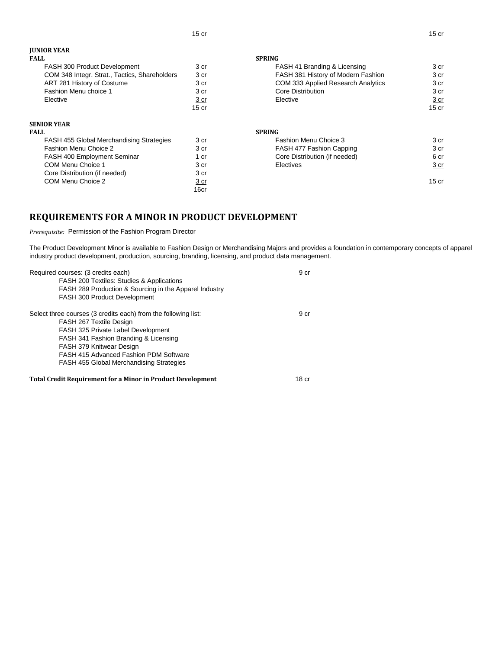| <b>JUNIOR YEAR</b>                            |                  |                                    |                  |
|-----------------------------------------------|------------------|------------------------------------|------------------|
| <b>FALL</b>                                   |                  | <b>SPRING</b>                      |                  |
| FASH 300 Product Development                  | 3 cr             | FASH 41 Branding & Licensing       | 3 cr             |
| COM 348 Integr. Strat., Tactics, Shareholders | 3 <sub>cr</sub>  | FASH 381 History of Modern Fashion | 3 cr             |
| ART 281 History of Costume                    | 3 cr             | COM 333 Applied Research Analytics | 3 cr             |
| Fashion Menu choice 1                         | 3 cr             | Core Distribution                  | 3 cr             |
| Elective                                      | 3 cr             | Elective                           | 3 <sub>cr</sub>  |
|                                               | 15 <sub>cr</sub> |                                    | 15 <sub>cr</sub> |
| <b>SENIOR YEAR</b>                            |                  |                                    |                  |
| <b>FALL</b>                                   | <b>SPRING</b>    |                                    |                  |
| FASH 455 Global Merchandising Strategies      | 3 cr             | Fashion Menu Choice 3              | 3 cr             |
| Fashion Menu Choice 2                         | 3 cr             | FASH 477 Fashion Capping           | 3 <sub>cr</sub>  |
| FASH 400 Employment Seminar                   | 1 cr             | Core Distribution (if needed)      | 6 cr             |
| COM Menu Choice 1                             | 3 cr             | Electives                          | 3 cr             |
| Core Distribution (if needed)                 | 3 cr             |                                    |                  |
| COM Menu Choice 2                             | <u>3 cr</u>      |                                    | $15$ cr          |
|                                               | 16cr             |                                    |                  |

15 cr 15 cr 15 cr 15 cr 15 cr 15 cr 15 cr 15 cr 15 cr 15 cr 15 cr 15 cr 15 cr 15 cr 15 cr 15 cr 15 cr 15 cr 1

# **REQUIREMENTS FOR A MINOR IN PRODUCT DEVELOPMENT**

*Prerequisite:* Permission of the Fashion Program Director

The Product Development Minor is available to Fashion Design or Merchandising Majors and provides a foundation in contemporary concepts of apparel industry product development, production, sourcing, branding, licensing, and product data management.

| Required courses: (3 credits each)                                 | 9 cr             |
|--------------------------------------------------------------------|------------------|
| <b>FASH 200 Textiles: Studies &amp; Applications</b>               |                  |
| FASH 289 Production & Sourcing in the Apparel Industry             |                  |
| FASH 300 Product Development                                       |                  |
| Select three courses (3 credits each) from the following list:     | 9 cr             |
| FASH 267 Textile Design                                            |                  |
| FASH 325 Private Label Development                                 |                  |
| FASH 341 Fashion Branding & Licensing                              |                  |
| FASH 379 Knitwear Design                                           |                  |
| FASH 415 Advanced Fashion PDM Software                             |                  |
| <b>FASH 455 Global Merchandising Strategies</b>                    |                  |
| <b>Total Credit Requirement for a Minor in Product Development</b> | 18 <sub>cr</sub> |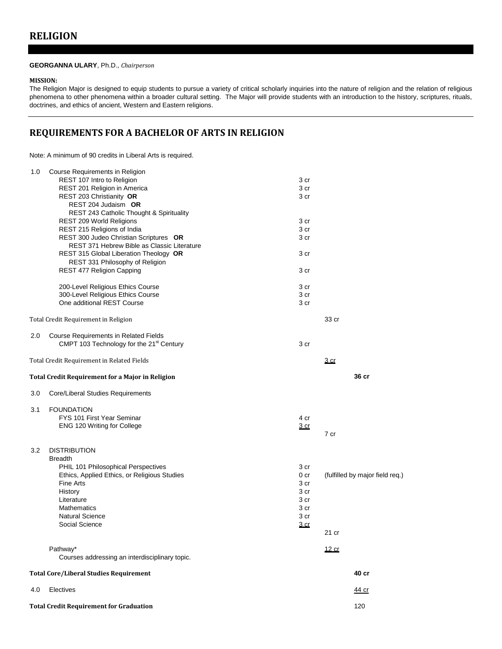#### **GEORGANNA ULARY**, Ph.D., *Chairperson*

### **MISSION:**

The Religion Major is designed to equip students to pursue a variety of critical scholarly inquiries into the nature of religion and the relation of religious phenomena to other phenomena within a broader cultural setting. The Major will provide students with an introduction to the history, scriptures, rituals, doctrines, and ethics of ancient, Western and Eastern religions.

## **REQUIREMENTS FOR A BACHELOR OF ARTS IN RELIGION**

Note: A minimum of 90 credits in Liberal Arts is required.

| 1.0 | Course Requirements in Religion                         |              |                                 |
|-----|---------------------------------------------------------|--------------|---------------------------------|
|     | REST 107 Intro to Religion                              | 3 cr         |                                 |
|     | REST 201 Religion in America                            | 3 cr         |                                 |
|     | REST 203 Christianity OR                                | 3 cr         |                                 |
|     | REST 204 Judaism OR                                     |              |                                 |
|     | REST 243 Catholic Thought & Spirituality                |              |                                 |
|     | REST 209 World Religions                                | 3 cr         |                                 |
|     | REST 215 Religions of India                             | 3 cr         |                                 |
|     | REST 300 Judeo Christian Scriptures OR                  | 3 cr         |                                 |
|     | REST 371 Hebrew Bible as Classic Literature             |              |                                 |
|     | REST 315 Global Liberation Theology OR                  | 3 cr         |                                 |
|     | REST 331 Philosophy of Religion                         |              |                                 |
|     | <b>REST 477 Religion Capping</b>                        | 3 cr         |                                 |
|     | 200-Level Religious Ethics Course                       | 3 cr         |                                 |
|     | 300-Level Religious Ethics Course                       | 3 cr         |                                 |
|     | One additional REST Course                              | 3 cr         |                                 |
|     | Total Credit Requirement in Religion                    |              | 33 cr                           |
| 2.0 | Course Requirements in Related Fields                   |              |                                 |
|     | CMPT 103 Technology for the 21 <sup>st</sup> Century    | 3 cr         |                                 |
|     | Total Credit Requirement in Related Fields              |              | <u>3 cr</u>                     |
|     | <b>Total Credit Requirement for a Major in Religion</b> |              | 36 cr                           |
| 3.0 | Core/Liberal Studies Requirements                       |              |                                 |
| 3.1 | <b>FOUNDATION</b>                                       |              |                                 |
|     | FYS 101 First Year Seminar                              | 4 cr         |                                 |
|     | ENG 120 Writing for College                             | <u>3 cr</u>  |                                 |
|     |                                                         |              | 7 cr                            |
| 3.2 | <b>DISTRIBUTION</b>                                     |              |                                 |
|     | <b>Breadth</b>                                          |              |                                 |
|     | PHIL 101 Philosophical Perspectives                     | 3 cr         |                                 |
|     | Ethics, Applied Ethics, or Religious Studies            | 0 cr         | (fulfilled by major field req.) |
|     | Fine Arts<br>History                                    | 3 cr         |                                 |
|     | Literature                                              | 3 cr<br>3 cr |                                 |
|     | <b>Mathematics</b>                                      | 3 cr         |                                 |
|     | <b>Natural Science</b>                                  | 3 cr         |                                 |
|     | Social Science                                          | <u>3 cr</u>  |                                 |
|     |                                                         |              | 21 cr                           |
|     | Pathway*                                                |              | <u>12 cr</u>                    |
|     | Courses addressing an interdisciplinary topic.          |              |                                 |
|     | <b>Total Core/Liberal Studies Requirement</b>           |              | 40 cr                           |
| 4.0 | Electives                                               |              | <u>44 cr</u>                    |
|     | <b>Total Credit Requirement for Graduation</b>          |              | 120                             |